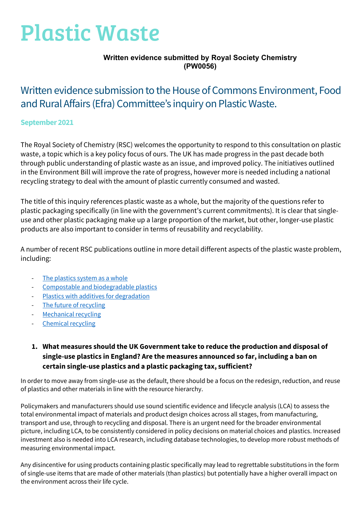# Plastic Waste

#### **Written evidence submitted by Royal Society Chemistry (PW0056)**

# Written evidence submission to the House of Commons Environment, Food and Rural Affairs (Efra) Committee's inquiry on Plastic Waste.

#### **September 2021**

The Royal Society of Chemistry (RSC) welcomes the opportunity to respond to this consultation on plastic waste, a topic which is a key policy focus of ours. The UK has made progress in the past decade both through public understanding of plastic waste as an issue, and improved policy. The initiatives outlined in the Environment Bill will improve the rate of progress, however more is needed including a national recycling strategy to deal with the amount of plastic currently consumed and wasted.

The title of this inquiry references plastic waste as a whole, but the majority of the questions refer to plastic packaging specifically (in line with the government's current commitments). It is clear that singleuse and other plastic packaging make up a large proportion of the market, but other, longer-use plastic products are also important to consider in terms of reusability and recyclability.

A number of recent RSC publications outline in more detail different aspects of the plastic waste problem, including:

- [The plastics system as a whole](https://www.rsc.org/globalassets/22-new-perspectives/sustainability/progressive-plastics/explainers/rsc-explainer-1---towards-more-sustainable-plastics_v2.pdf)
- [Compostable and biodegradable plastics](https://www.rsc.org/globalassets/22-new-perspectives/sustainability/progressive-plastics/explainers/rsc-explainer-2---compostable-and-biodegradable-plastics.pdf)
- [Plastics with additives for degradation](https://www.rsc.org/globalassets/22-new-perspectives/sustainability/progressive-plastics/explainers/rsc-explainer-3---additives-for-degradable-plastics.pdf)
- [The future of recycling](https://www.rsc.org/globalassets/22-new-perspectives/sustainability/progressive-plastics/explainers/rsc-explainer-4---the-future-of-recycling.pdf)
- [Mechanical recycling](https://www.rsc.org/globalassets/22-new-perspectives/sustainability/progressive-plastics/explainers/rsc-explainer-5---mechanical-recycling.pdf)
- [Chemical recycling](https://www.rsc.org/globalassets/22-new-perspectives/sustainability/progressive-plastics/explainers/rsc-explainer-6---chemical-recycling.pdf)

### **1. What measures should the UK Government take to reduce the production and disposal of single-use plastics in England? Are the measures announced so far, including a ban on certain single-use plastics and a plastic packaging tax, sufficient?**

In order to move away from single-use as the default, there should be a focus on the redesign, reduction, and reuse of plastics and other materials in line with the resource hierarchy.

Policymakers and manufacturers should use sound scientific evidence and lifecycle analysis (LCA) to assess the total environmental impact of materials and product design choices across all stages, from manufacturing, transport and use, through to recycling and disposal. There is an urgent need for the broader environmental picture, including LCA, to be consistently considered in policy decisions on material choices and plastics. Increased investment also is needed into LCA research, including database technologies, to develop more robust methods of measuring environmental impact.

Any disincentive for using products containing plastic specifically may lead to regrettable substitutions in the form of single-use items that are made of other materials (than plastics) but potentially have a higher overall impact on the environment across their life cycle.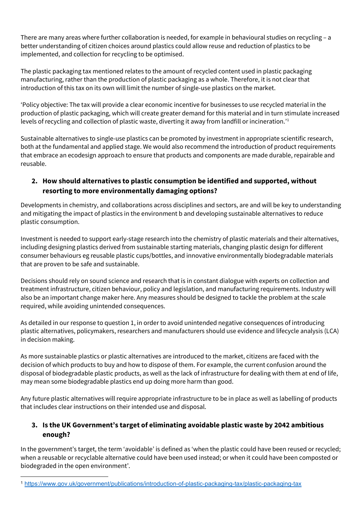There are many areas where further collaboration is needed, for example in behavioural studies on recycling – a better understanding of citizen choices around plastics could allow reuse and reduction of plastics to be implemented, and collection for recycling to be optimised.

The plastic packaging tax mentioned relates to the amount of recycled content used in plastic packaging manufacturing, rather than the production of plastic packaging as a whole. Therefore, it is not clear that introduction of this tax on its own will limit the number of single-use plastics on the market.

'Policy objective: The tax will provide a clear economic incentive for businesses to use recycled material in the production of plastic packaging, which will create greater demand for this material and in turn stimulate increased levels of recycling and collection of plastic waste, diverting it away from landfill or incineration.'[1](#page-1-0)

Sustainable alternatives to single-use plastics can be promoted by investment in appropriate scientific research, both at the fundamental and applied stage. We would also recommend the introduction of product requirements that embrace an ecodesign approach to ensure that products and components are made durable, repairable and reusable.

### **2. How should alternatives to plastic consumption be identified and supported, without resorting to more environmentally damaging options?**

Developments in chemistry, and collaborations across disciplines and sectors, are and will be key to understanding and mitigating the impact of plastics in the environment b and developing sustainable alternatives to reduce plastic consumption.

Investment is needed to support early-stage research into the chemistry of plastic materials and their alternatives, including designing plastics derived from sustainable starting materials, changing plastic design for different consumer behaviours eg reusable plastic cups/bottles, and innovative environmentally biodegradable materials that are proven to be safe and sustainable.

Decisions should rely on sound science and research that is in constant dialogue with experts on collection and treatment infrastructure, citizen behaviour, policy and legislation, and manufacturing requirements. Industry will also be an important change maker here. Any measures should be designed to tackle the problem at the scale required, while avoiding unintended consequences.

As detailed in our response to question 1, in order to avoid unintended negative consequences of introducing plastic alternatives, policymakers, researchers and manufacturers should use evidence and lifecycle analysis (LCA) in decision making.

As more sustainable plastics or plastic alternatives are introduced to the market, citizens are faced with the decision of which products to buy and how to dispose of them. For example, the current confusion around the disposal of biodegradable plastic products, as well as the lack of infrastructure for dealing with them at end of life, may mean some biodegradable plastics end up doing more harm than good.

Any future plastic alternatives will require appropriate infrastructure to be in place as well as labelling of products that includes clear instructions on their intended use and disposal.

## **3. Is the UK Government's target of eliminating avoidable plastic waste by 2042 ambitious enough?**

In the government's target, the term 'avoidable' is defined as 'when the plastic could have been reused or recycled; when a reusable or recyclable alternative could have been used instead; or when it could have been composted or biodegraded in the open environment'.

<span id="page-1-0"></span><sup>1</sup> <https://www.gov.uk/government/publications/introduction-of-plastic-packaging-tax/plastic-packaging-tax>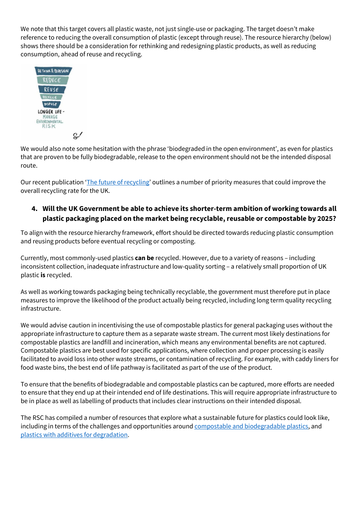We note that this target covers all plastic waste, not just single-use or packaging. The target doesn't make reference to reducing the overall consumption of plastic (except through reuse). The resource hierarchy (below) shows there should be a consideration for rethinking and redesigning plastic products, as well as reducing consumption, ahead of reuse and recycling.



We would also note some hesitation with the phrase 'biodegraded in the open environment', as even for plastics that are proven to be fully biodegradable, release to the open environment should not be the intended disposal route.

Our recent publication ['The future of recycling'](https://www.rsc.org/globalassets/22-new-perspectives/sustainability/progressive-plastics/explainers/rsc-explainer-4---the-future-of-recycling.pdf) outlines a number of priority measures that could improve the overall recycling rate for the UK.

#### **4. Will the UK Government be able to achieve its shorter-term ambition of working towards all plastic packaging placed on the market being recyclable, reusable or compostable by 2025?**

To align with the resource hierarchy framework, effort should be directed towards reducing plastic consumption and reusing products before eventual recycling or composting.

Currently, most commonly-used plastics **can be** recycled. However, due to a variety of reasons – including inconsistent collection, inadequate infrastructure and low-quality sorting – a relatively small proportion of UK plastic **is** recycled.

As well as working towards packaging being technically recyclable, the government must therefore put in place measures to improve the likelihood of the product actually being recycled, including long term quality recycling infrastructure.

We would advise caution in incentivising the use of compostable plastics for general packaging uses without the appropriate infrastructure to capture them as a separate waste stream. The current most likely destinations for compostable plastics are landfill and incineration, which means any environmental benefits are not captured. Compostable plastics are best used for specific applications, where collection and proper processing is easily facilitated to avoid loss into other waste streams, or contamination of recycling. For example, with caddy liners for food waste bins, the best end of life pathway is facilitated as part of the use of the product.

To ensure that the benefits of biodegradable and compostable plastics can be captured, more efforts are needed to ensure that they end up at their intended end of life destinations. This will require appropriate infrastructure to be in place as well as labelling of products that includes clear instructions on their intended disposal.

The RSC has compiled a number of resources that explore what a sustainable future for plastics could look like, including in terms of the challenges and opportunities aroun[d compostable and biodegradable plastics,](https://www.rsc.org/globalassets/22-new-perspectives/sustainability/progressive-plastics/explainers/rsc-explainer-2---compostable-and-biodegradable-plastics.pdf) and [plastics with additives for degradation.](https://www.rsc.org/globalassets/22-new-perspectives/sustainability/progressive-plastics/explainers/rsc-explainer-3---additives-for-degradable-plastics.pdf)